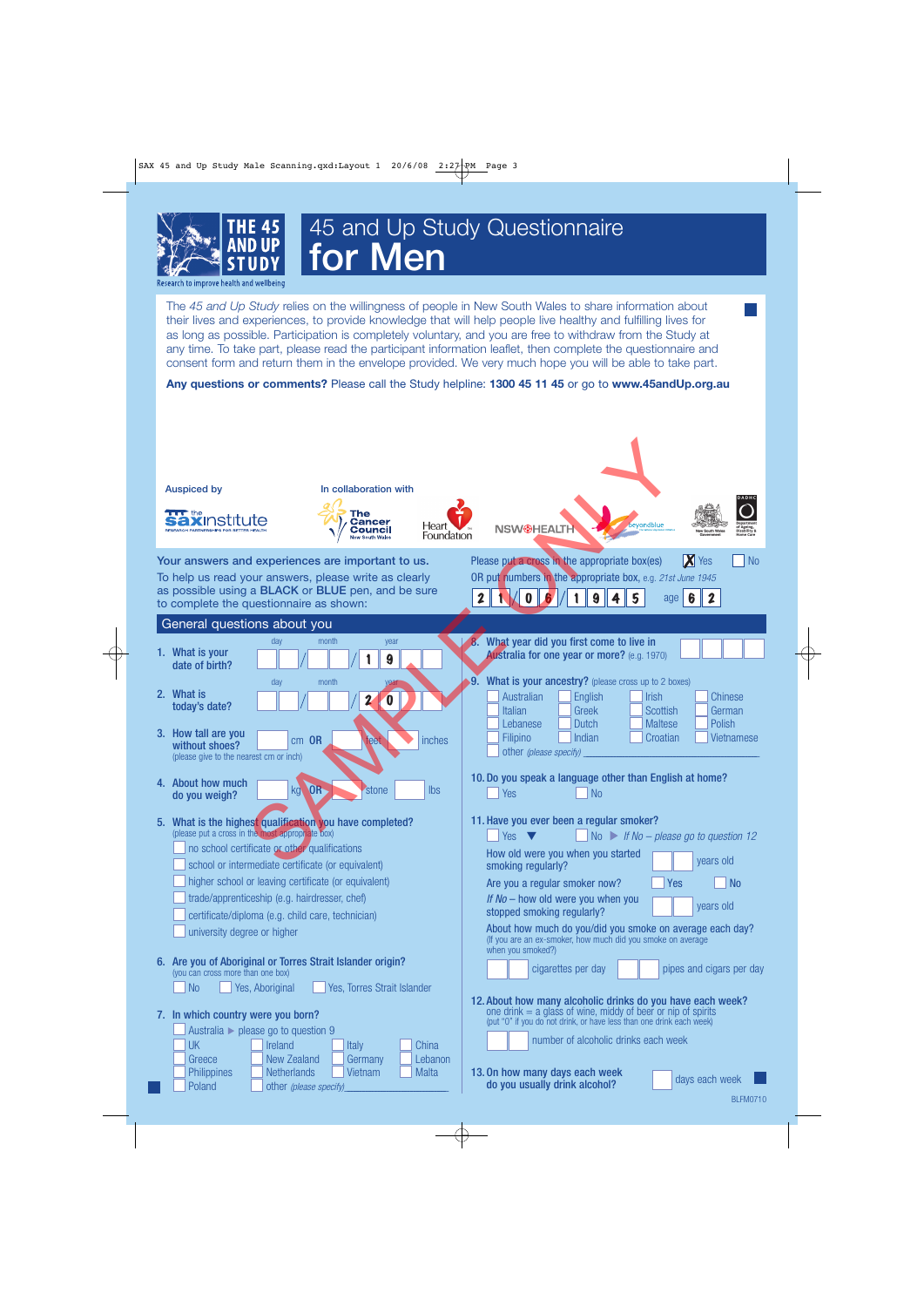

## 45 and Up Study Questionnaire **for Men**

Research to improve health and wellbeing

The *45 and Up Study* relies on the willingness of people in New South Wales to share information about their lives and experiences, to provide knowledge that will help people live healthy and fulfilling lives for as long as possible. Participation is completely voluntary, and you are free to withdraw from the Study at any time. To take part, please read the participant information leaflet, then complete the questionnaire and consent form and return them in the envelope provided. We very much hope you will be able to take part.

**Any questions or comments?** Please call the Study helpline: **1300 45 11 45** or go to **www.45andUp.org.au**

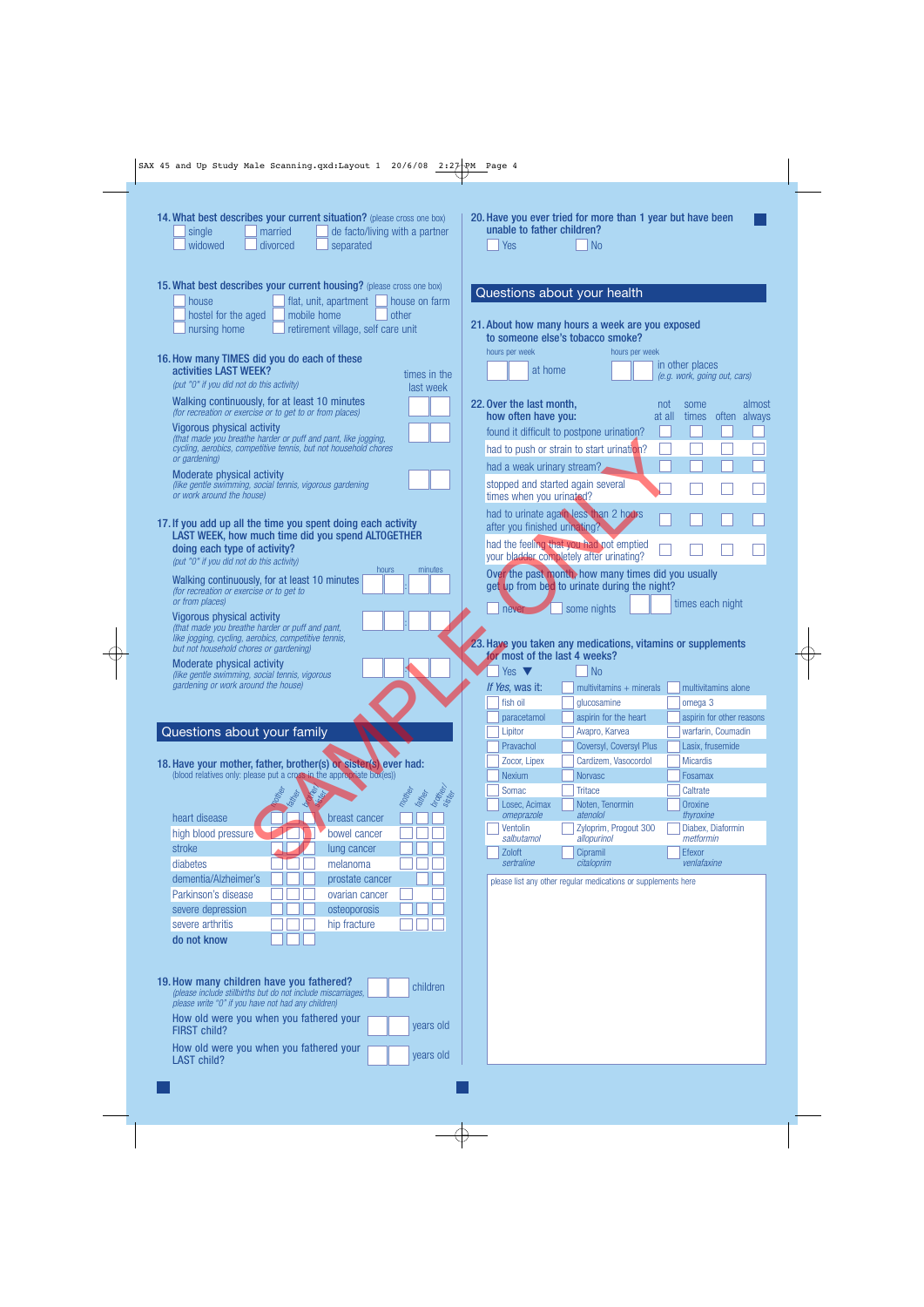| married<br>single<br>widowed<br>divorced<br>separated                                                                                                                                                                | 14. What best describes your current situation? (please cross one box)<br>de facto/living with a partner | 20. Have you ever tried for more than 1 year but have been<br>unable to father children?<br>Yes<br><b>No</b>                                                    |                                               |
|----------------------------------------------------------------------------------------------------------------------------------------------------------------------------------------------------------------------|----------------------------------------------------------------------------------------------------------|-----------------------------------------------------------------------------------------------------------------------------------------------------------------|-----------------------------------------------|
| 15. What best describes your current housing? (please cross one box)<br>flat, unit, apartment<br>house<br>hostel for the aged<br>mobile home<br>retirement village, self care unit<br>nursing home                   | house on farm<br>other                                                                                   | Questions about your health<br>21. About how many hours a week are you exposed<br>to someone else's tobacco smoke?                                              |                                               |
| 16. How many TIMES did you do each of these<br>activities LAST WEEK?<br>(put "0" if you did not do this activity)                                                                                                    | times in the                                                                                             | hours per week<br>hours per week<br>in other places<br>at home                                                                                                  | (e.g. work, going out, cars)                  |
| Walking continuously, for at least 10 minutes<br>(for recreation or exercise or to get to or from places)                                                                                                            | last week                                                                                                | 22. Over the last month,<br>not<br>some<br>how often have you:<br>at all<br>times                                                                               | almost<br>often always                        |
| <b>Vigorous physical activity</b><br>(that made you breathe harder or puff and pant, like jogging,<br>cycling, aerobics, competitive tennis, but not household chores<br>or gardening)<br>Moderate physical activity |                                                                                                          | found it difficult to postpone urination?<br>had to push or strain to start urination?<br>had a weak urinary stream?                                            |                                               |
| (like gentle swimming, social tennis, vigorous gardening<br>or work around the house)                                                                                                                                |                                                                                                          | stopped and started again several<br>times when you urinated?                                                                                                   |                                               |
| 17. If you add up all the time you spent doing each activity<br>LAST WEEK, how much time did you spend ALTOGETHER<br>doing each type of activity?<br>(put "0" if you did not do this activity)                       |                                                                                                          | had to urinate again less than 2 hours<br>after you finished urinating?<br>had the feeling that you had not emptied<br>your bladder completely after urinating? |                                               |
| Walking continuously, for at least 10 minutes<br>(for recreation or exercise or to get to<br>or from places)                                                                                                         | hours<br>minutes                                                                                         | Over the past month, how many times did you usually<br>get up from bed to urinate during the night?                                                             | times each night                              |
| <b>Vigorous physical activity</b><br>(that made you breathe harder or puff and pant,<br>like jogging, cycling, aerobics, competitive tennis,                                                                         |                                                                                                          | some nights<br>never                                                                                                                                            |                                               |
|                                                                                                                                                                                                                      |                                                                                                          | 23. Have you taken any medications, vitamins or supplements                                                                                                     |                                               |
| but not household chores or gardening)<br>Moderate physical activity<br>(like gentle swimming, social tennis, vigorous<br>gardening or work around the house)                                                        |                                                                                                          | for most of the last 4 weeks?<br><b>No</b><br>Yes $\blacktriangledown$                                                                                          |                                               |
|                                                                                                                                                                                                                      |                                                                                                          | If Yes, was it:<br>multivitamins $+$ minerals<br>fish oil<br>qlucosamine                                                                                        | multivitamins alone<br>omega 3                |
| Questions about your family                                                                                                                                                                                          |                                                                                                          | aspirin for the heart<br>paracetamol<br>Lipitor<br>Avapro, Karvea                                                                                               | warfarin, Coumadin                            |
|                                                                                                                                                                                                                      |                                                                                                          | Pravachol<br>Coversyl, Coversyl Plus                                                                                                                            | aspirin for other reasons<br>Lasix, frusemide |
| 18. Have your mother, father, brother(s) or sister(s) ever had:<br>(blood relatives only: please put a cross in the appropriate box(es))                                                                             |                                                                                                          | Cardizem, Vasocordol<br>Zocor, Lipex<br><b>Nexium</b><br><b>Norvasc</b>                                                                                         | <b>Micardis</b><br>Fosamax                    |
|                                                                                                                                                                                                                      |                                                                                                          | Somac<br><b>Tritace</b><br>Caltrate                                                                                                                             |                                               |
| <b>Father</b><br>$\delta$                                                                                                                                                                                            | brother<br>mother<br><b>Father</b>                                                                       | Losec, Acimax<br>Noten, Tenormin<br>Oroxine                                                                                                                     |                                               |
| heart disease<br>breast cancer                                                                                                                                                                                       |                                                                                                          | atenolol<br>omeprazole<br>Ventolin<br>Zyloprim, Progout 300                                                                                                     | thyroxine<br>Diabex, Diaformin                |
| high blood pressure<br>bowel cancer<br>stroke<br>lung cancer                                                                                                                                                         |                                                                                                          | salbutamol<br>allopurinol                                                                                                                                       | metformin                                     |
| diabetes<br>melanoma                                                                                                                                                                                                 |                                                                                                          | Zoloft<br>Cipramil<br>Efexor<br>citaloprim<br>sertraline                                                                                                        | venlafaxine                                   |
| dementia/Alzheimer's<br>prostate cancer<br>Parkinson's disease<br>ovarian cancer                                                                                                                                     |                                                                                                          | please list any other regular medications or supplements here                                                                                                   |                                               |
| osteoporosis<br>severe depression                                                                                                                                                                                    |                                                                                                          |                                                                                                                                                                 |                                               |
| severe arthritis<br>hip fracture<br>do not know                                                                                                                                                                      |                                                                                                          |                                                                                                                                                                 |                                               |
| 19. How many children have you fathered?<br>(please include stillbirths but do not include miscarriages,                                                                                                             | children                                                                                                 |                                                                                                                                                                 |                                               |
| please write "0" if you have not had any children)<br>How old were you when you fathered your<br>FIRST child?                                                                                                        | vears old                                                                                                |                                                                                                                                                                 |                                               |

 $\overline{\bigoplus}$ 

 $\overrightarrow{ }$ 

 $\begin{picture}(120,10) \put(0,0){\line(1,0){10}} \put(15,0){\line(1,0){10}} \put(15,0){\line(1,0){10}} \put(15,0){\line(1,0){10}} \put(15,0){\line(1,0){10}} \put(15,0){\line(1,0){10}} \put(15,0){\line(1,0){10}} \put(15,0){\line(1,0){10}} \put(15,0){\line(1,0){10}} \put(15,0){\line(1,0){10}} \put(15,0){\line(1,0){10}} \put(15,0){\line($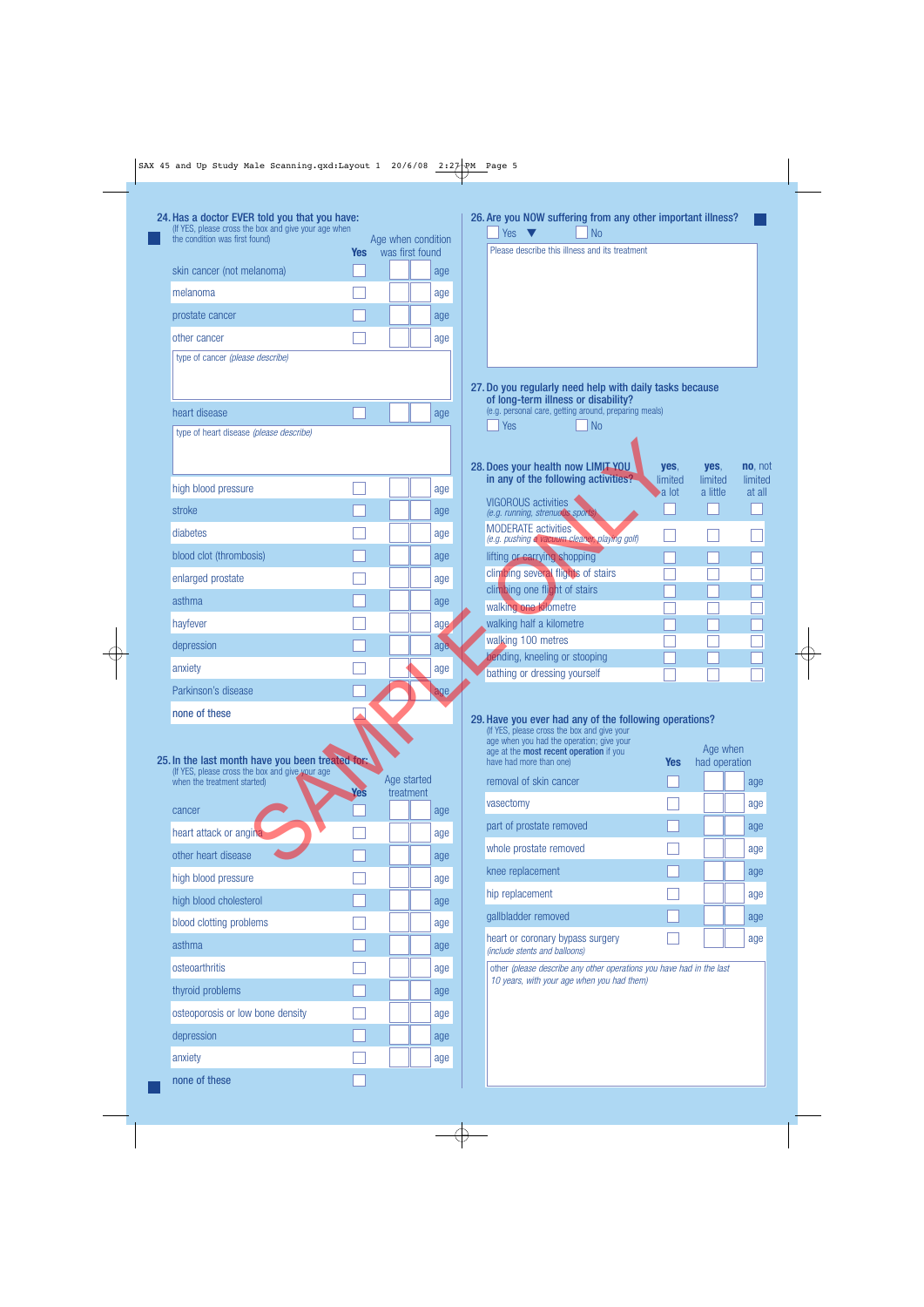| (If YES, please cross the box and give your age when<br>the condition was first found) |            | Age when condition |     | <b>No</b><br>Yes                                                                             |                  |                           |                   |
|----------------------------------------------------------------------------------------|------------|--------------------|-----|----------------------------------------------------------------------------------------------|------------------|---------------------------|-------------------|
|                                                                                        | <b>Yes</b> | was first found    |     | Please describe this illness and its treatment                                               |                  |                           |                   |
| skin cancer (not melanoma)                                                             |            |                    | age |                                                                                              |                  |                           |                   |
| melanoma                                                                               |            |                    | age |                                                                                              |                  |                           |                   |
| prostate cancer                                                                        |            |                    | age |                                                                                              |                  |                           |                   |
| other cancer                                                                           |            |                    | age |                                                                                              |                  |                           |                   |
| type of cancer (please describe)                                                       |            |                    |     |                                                                                              |                  |                           |                   |
|                                                                                        |            |                    |     | 27. Do you regularly need help with daily tasks because                                      |                  |                           |                   |
|                                                                                        |            |                    |     | of long-term illness or disability?<br>(e.g. personal care, getting around, preparing meals) |                  |                           |                   |
| heart disease<br>type of heart disease (please describe)                               |            |                    | age | Yes<br>N <sub>o</sub>                                                                        |                  |                           |                   |
|                                                                                        |            |                    |     |                                                                                              |                  |                           |                   |
|                                                                                        |            |                    |     | 28. Does your health now LIMIT YOU                                                           | yes,             | yes,                      | <b>no</b> , not   |
| high blood pressure                                                                    |            |                    | age | in any of the following activities?                                                          | limited<br>a lot | limited<br>a little       | limited<br>at all |
| stroke                                                                                 |            |                    | age | <b>VIGOROUS activities</b><br>(e.g. running, strenuous sports)                               |                  |                           |                   |
| diabetes                                                                               |            |                    | age | <b>MODERATE</b> activities                                                                   |                  |                           |                   |
| blood clot (thrombosis)                                                                |            |                    | age | (e.g. pushing a vacuum cleaner, playing golf)<br>lifting or carrying shopping                |                  |                           |                   |
| enlarged prostate                                                                      |            |                    |     | climbing several flights of stairs                                                           |                  |                           |                   |
|                                                                                        |            |                    | age | climbing one flight of stairs                                                                |                  |                           |                   |
| asthma                                                                                 |            |                    | age | walking one kilometre                                                                        |                  |                           |                   |
| hayfever                                                                               |            |                    | age | walking half a kilometre<br>walking 100 metres                                               |                  |                           |                   |
| depression                                                                             |            |                    | age | bending, kneeling or stooping                                                                |                  |                           |                   |
| anxiety                                                                                |            |                    | age | bathing or dressing yourself                                                                 |                  |                           |                   |
| Parkinson's disease                                                                    |            |                    | age |                                                                                              |                  |                           |                   |
| none of these                                                                          |            |                    |     | 29. Have you ever had any of the following operations?                                       |                  |                           |                   |
|                                                                                        |            |                    |     | (If YES, please cross the box and give your<br>age when you had the operation; give your     |                  |                           |                   |
| 25. In the last month have you been treated for:                                       |            |                    |     | age at the most recent operation if you<br>have had more than one)                           | <b>Yes</b>       | Age when<br>had operation |                   |
| (If YES, please cross the box and give your age<br>when the treatment started)         |            | Age started        |     | removal of skin cancer                                                                       |                  |                           | age               |
|                                                                                        | Yes        | treatment          |     | vasectomy                                                                                    |                  |                           | age               |
| cancer                                                                                 |            |                    | age | part of prostate removed                                                                     |                  |                           |                   |
| heart attack or angina                                                                 |            |                    | age |                                                                                              |                  |                           | age               |
| other heart disease                                                                    |            |                    | age | whole prostate removed                                                                       |                  |                           | age               |
| high blood pressure                                                                    |            |                    | age | knee replacement                                                                             |                  |                           | age               |
| high blood cholesterol                                                                 |            |                    | age | hip replacement                                                                              |                  |                           | age               |
| blood clotting problems                                                                |            |                    | age | gallbladder removed                                                                          |                  |                           | age               |
| asthma                                                                                 |            |                    | age | heart or coronary bypass surgery<br>(include stents and balloons)                            |                  |                           | age               |
| osteoarthritis                                                                         |            |                    | age | other (please describe any other operations you have had in the last                         |                  |                           |                   |
| thyroid problems                                                                       |            |                    | age | 10 years, with your age when you had them)                                                   |                  |                           |                   |
|                                                                                        |            |                    |     |                                                                                              |                  |                           |                   |

none of these

depression and the contract of the contract of the contract of the contract of the contract of the contract of anxiety and age

П

 $\overline{\oplus}$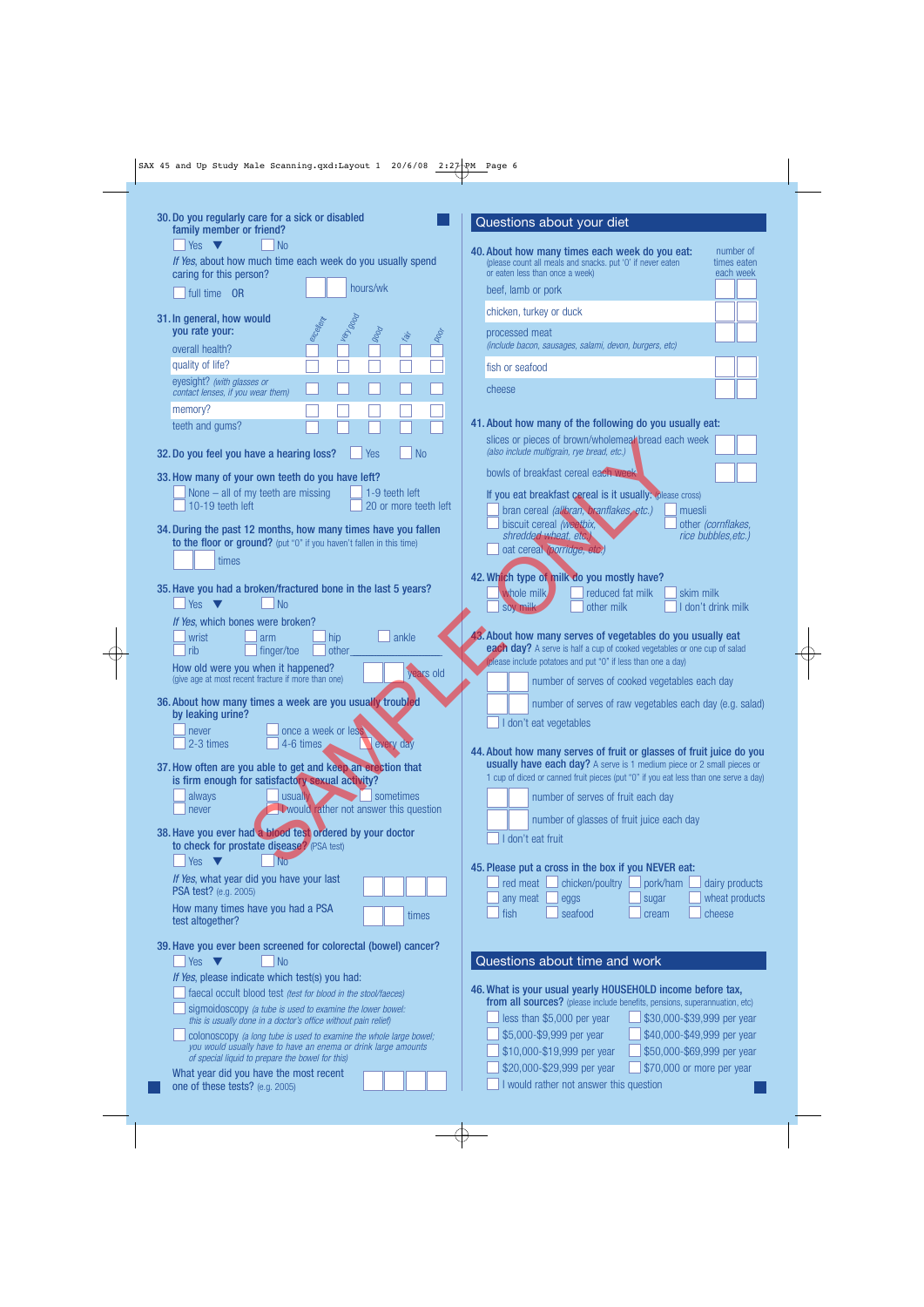| 30. Do you regularly care for a sick or disabled<br>family member or friend?                                                | Questions about your diet                                                                                                                                            |  |
|-----------------------------------------------------------------------------------------------------------------------------|----------------------------------------------------------------------------------------------------------------------------------------------------------------------|--|
| Yes $\blacktriangledown$<br>N <sub>o</sub>                                                                                  | 40. About how many times each week do you eat:<br>number of                                                                                                          |  |
| If Yes, about how much time each week do you usually spend<br>caring for this person?                                       | (please count all meals and snacks. put '0' if never eaten<br>times eaten<br>or eaten less than once a week)<br>each week                                            |  |
| hours/wk<br>full time OR                                                                                                    | beef, lamb or pork                                                                                                                                                   |  |
| 31. In general, how would                                                                                                   | chicken, turkey or duck                                                                                                                                              |  |
| ercellent<br>you rate your:<br>9000<br>ist.<br>Ko<br>overall health?                                                        | processed meat<br>(include bacon, sausages, salami, devon, burgers, etc)                                                                                             |  |
| quality of life?                                                                                                            | fish or seafood                                                                                                                                                      |  |
| eyesight? (with glasses or<br>contact lenses, if you wear them)                                                             | cheese                                                                                                                                                               |  |
| memory?                                                                                                                     |                                                                                                                                                                      |  |
| teeth and gums?                                                                                                             | 41. About how many of the following do you usually eat:<br>slices or pieces of brown/wholemeal/bread each week<br>(also include multigrain, rye bread, etc.)         |  |
| $\overline{\phantom{a}}$ No<br>32. Do you feel you have a hearing loss?<br>Yes                                              |                                                                                                                                                                      |  |
| 33. How many of your own teeth do you have left?                                                                            | bowls of breakfast cereal each week                                                                                                                                  |  |
| None $-$ all of my teeth are missing<br>$\vert$ 1-9 teeth left<br>10-19 teeth left<br>20 or more teeth left                 | If you eat breakfast cereal is it usually: (please cross)<br>bran cereal (allbran, branflakes, etc.)<br>muesli                                                       |  |
| 34. During the past 12 months, how many times have you fallen                                                               | biscuit cereal (weetbix,<br>other (cornflakes,<br>shredded wheat, etc.,<br>rice bubbles, etc.)                                                                       |  |
| to the floor or ground? (put "0" if you haven't fallen in this time)<br>times                                               | oat cereal (porridge, etc.)                                                                                                                                          |  |
|                                                                                                                             | 42. Which type of milk do you mostly have?                                                                                                                           |  |
| 35. Have you had a broken/fractured bone in the last 5 years?<br>N <sub>0</sub><br>Yes $\blacktriangledown$                 | whole milk<br>reduced fat milk<br>skim milk                                                                                                                          |  |
| If Yes, which bones were broken?                                                                                            | other milk<br>I don't drink milk<br>soy milk                                                                                                                         |  |
| wrist<br>ankle<br>hip<br>arm                                                                                                | 43. About how many serves of vegetables do you usually eat                                                                                                           |  |
| rib<br>finger/toe<br>other<br>How old were you when it happened?                                                            | each day? A serve is half a cup of cooked vegetables or one cup of salad<br>(please include potatoes and put "0" if less than one a day)                             |  |
| years old<br>(give age at most recent fracture if more than one)                                                            | number of serves of cooked vegetables each day                                                                                                                       |  |
| 36. About how many times a week are you usually troubled                                                                    | number of serves of raw vegetables each day (e.g. salad)                                                                                                             |  |
| by leaking urine?<br>once a week or less<br>never                                                                           | I don't eat vegetables                                                                                                                                               |  |
| 2-3 times<br>4-6 times<br>every day                                                                                         | 44. About how many serves of fruit or glasses of fruit juice do you                                                                                                  |  |
| 37. How often are you able to get and keep an erection that<br>is firm enough for satisfactory sexual activity?             | <b>usually have each day?</b> A serve is 1 medium piece or 2 small pieces or<br>1 cup of diced or canned fruit pieces (put "0" if you eat less than one serve a day) |  |
| sometimes<br>always<br>usually                                                                                              | number of serves of fruit each day                                                                                                                                   |  |
| <b>Twould rather not answer this question</b><br>never                                                                      | number of glasses of fruit juice each day                                                                                                                            |  |
| 38. Have you ever had a blood test ordered by your doctor                                                                   | I don't eat fruit                                                                                                                                                    |  |
| to check for prostate disease? (PSA test)<br>Yes $\blacktriangledown$<br><b>No</b>                                          |                                                                                                                                                                      |  |
| If Yes, what year did you have your last                                                                                    | 45. Please put a cross in the box if you NEVER eat:<br>chicken/poultry<br>red meat<br>pork/ham<br>dairy products                                                     |  |
| PSA test? (e.g. 2005)<br>How many times have you had a PSA                                                                  | wheat products<br>any meat<br>eggs<br>sugar                                                                                                                          |  |
| times<br>test altogether?                                                                                                   | fish<br>seafood<br>cheese<br>cream                                                                                                                                   |  |
| 39. Have you ever been screened for colorectal (bowel) cancer?                                                              |                                                                                                                                                                      |  |
| Yes $\blacktriangledown$<br>N <sub>o</sub><br>If Yes, please indicate which test(s) you had:                                | Questions about time and work                                                                                                                                        |  |
| faecal occult blood test (test for blood in the stool/faeces)                                                               | 46. What is your usual yearly HOUSEHOLD income before tax,                                                                                                           |  |
| sigmoidoscopy (a tube is used to examine the lower bowel:<br>this is usually done in a doctor's office without pain relief) | from all sources? (please include benefits, pensions, superannuation, etc)<br>less than \$5,000 per year<br>\$30,000-\$39,999 per year                               |  |
| colonoscopy (a long tube is used to examine the whole large bowel;                                                          | \$5,000-\$9,999 per year<br>\$40,000-\$49,999 per year                                                                                                               |  |
| you would usually have to have an enema or drink large amounts<br>of special liquid to prepare the bowel for this)          | \$10,000-\$19,999 per year<br>\$50,000-\$69,999 per year                                                                                                             |  |
| What year did you have the most recent<br>one of these tests? (e.g. 2005)                                                   | \$20,000-\$29,999 per year<br>\$70,000 or more per year<br>I would rather not answer this question                                                                   |  |
|                                                                                                                             |                                                                                                                                                                      |  |

 $\overline{\varphi}$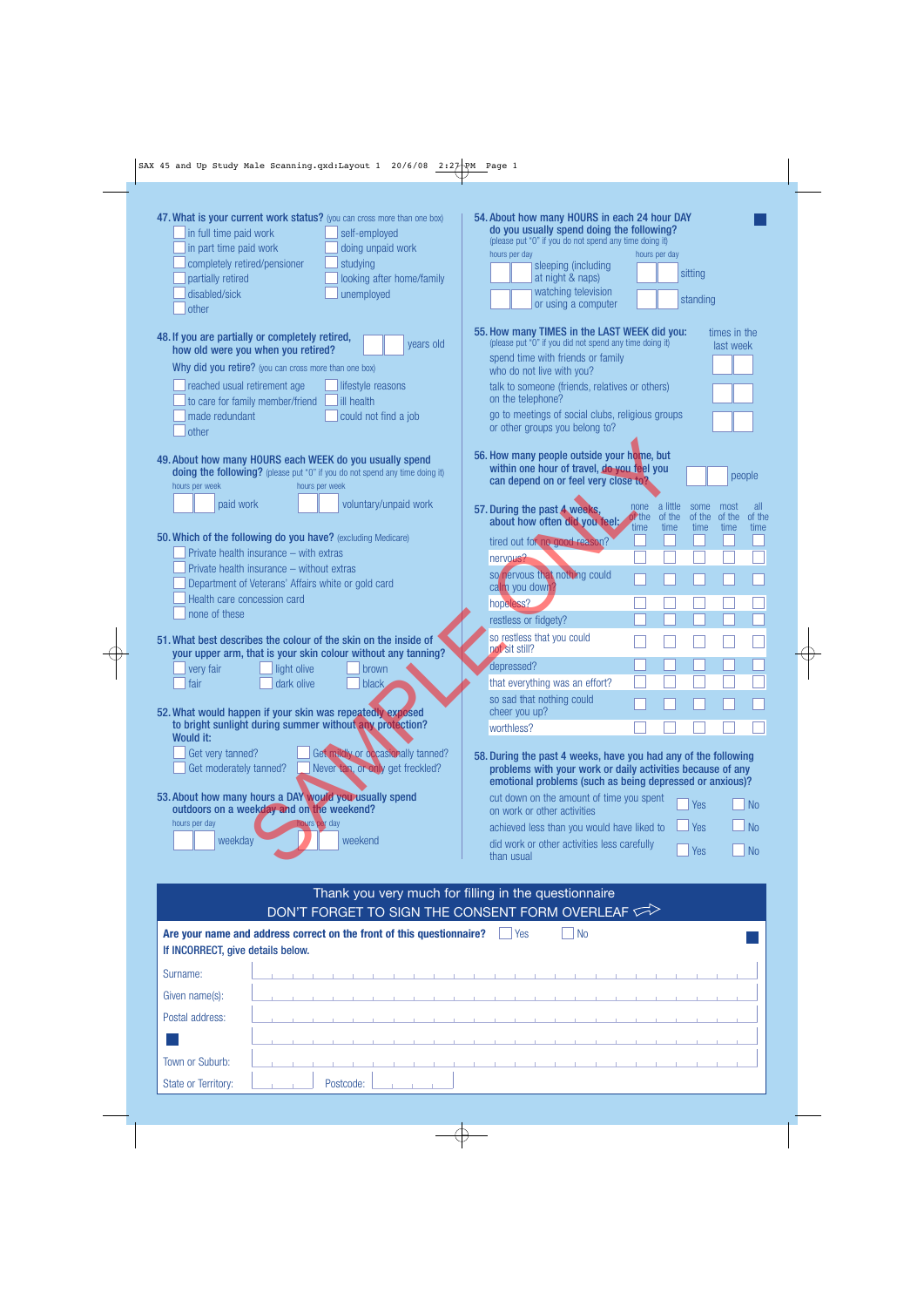$\overline{\mathrm{\phi}}$ 

| 47. What is your current work status? (you can cross more than one box)<br>in full time paid work<br>self-employed<br>in part time paid work<br>doing unpaid work<br>completely retired/pensioner<br>studying<br>partially retired<br>looking after home/family<br>disabled/sick<br>unemployed<br>other                                                                                                                                                                                                                                                                   | 54. About how many HOURS in each 24 hour DAY<br>do you usually spend doing the following?<br>(please put "0" if you do not spend any time doing it)<br>hours per day<br>hours per day<br>sleeping (including<br>sitting<br>at night & naps)<br>watching television<br>standing<br>or using a computer                                                                                                                                                                                 |
|---------------------------------------------------------------------------------------------------------------------------------------------------------------------------------------------------------------------------------------------------------------------------------------------------------------------------------------------------------------------------------------------------------------------------------------------------------------------------------------------------------------------------------------------------------------------------|---------------------------------------------------------------------------------------------------------------------------------------------------------------------------------------------------------------------------------------------------------------------------------------------------------------------------------------------------------------------------------------------------------------------------------------------------------------------------------------|
| 48. If you are partially or completely retired,<br>years old<br>how old were you when you retired?<br>Why did you retire? (you can cross more than one box)<br>reached usual retirement age<br>lifestyle reasons<br>to care for family member/friend<br>ill health<br>made redundant<br>could not find a job<br>other                                                                                                                                                                                                                                                     | 55. How many TIMES in the LAST WEEK did you:<br>times in the<br>(please put "O" if you did not spend any time doing it)<br>last week<br>spend time with friends or family<br>who do not live with you?<br>talk to someone (friends, relatives or others)<br>on the telephone?<br>go to meetings of social clubs, religious groups<br>or other groups you belong to?                                                                                                                   |
| 49. About how many HOURS each WEEK do you usually spend<br>doing the following? (please put "0" if you do not spend any time doing it)<br>hours per week<br>hours per week<br>paid work<br>voluntary/unpaid work<br>50. Which of the following do you have? (excluding Medicare)<br>Private health insurance - with extras<br>Private health insurance - without extras<br>Department of Veterans' Affairs white or gold card<br>Health care concession card<br>none of these                                                                                             | 56. How many people outside your home, but<br>within one hour of travel, do you feel you<br>people<br>can depend on or feel very close to?<br>a little<br>none<br>some<br>most<br>all<br>57. During the past 4 weeks,<br>of the<br>of the<br>of the<br>of the<br>of the<br>about how often did you feel:<br>time<br>time<br>time<br>time<br>time<br>tired out for no good reason?<br>nervous?<br>so nervous that nothing could<br>calm you down?<br>hopeless?<br>restless or fidgety? |
| 51. What best describes the colour of the skin on the inside of<br>your upper arm, that is your skin colour without any tanning?<br>very fair<br>light olive<br>brown<br>fair<br>dark olive<br>black<br>52. What would happen if your skin was repeatedly exposed<br>to bright sunlight during summer without any protection?<br>Would it:<br>Get very tanned?<br>Get mildly or occasionally tanned?<br>Get moderately tanned?<br>Never tan, or only get freckled?<br>53. About how many hours a DAY would you usually spend<br>outdoors on a weekday and on the weekend? | so restless that you could<br>not sit still?<br>depressed?<br>that everything was an effort?<br>so sad that nothing could<br>cheer you up?<br>worthless?<br>58. During the past 4 weeks, have you had any of the following<br>problems with your work or daily activities because of any<br>emotional problems (such as being depressed or anxious)?<br>cut down on the amount of time you spent<br>Yes<br><b>No</b><br>on work or other activities                                   |
| hours per day<br>hours per day<br>weekday<br>weekend                                                                                                                                                                                                                                                                                                                                                                                                                                                                                                                      | <b>No</b><br>Yes<br>achieved less than you would have liked to<br>did work or other activities less carefully<br><b>No</b><br>Yes<br>than usual                                                                                                                                                                                                                                                                                                                                       |

| Thank you very much for filling in the questionnaire                                                       |  |  |  |  |  |           |  |  |  |                              |     |  |                |  |  |  |  |  |
|------------------------------------------------------------------------------------------------------------|--|--|--|--|--|-----------|--|--|--|------------------------------|-----|--|----------------|--|--|--|--|--|
| DON'T FORGET TO SIGN THE CONSENT FORM OVERLEAF $\text{C}$                                                  |  |  |  |  |  |           |  |  |  |                              |     |  |                |  |  |  |  |  |
| Are your name and address correct on the front of this questionnaire?<br>If INCORRECT, give details below. |  |  |  |  |  |           |  |  |  |                              | Yes |  | N <sub>0</sub> |  |  |  |  |  |
| Surname:                                                                                                   |  |  |  |  |  |           |  |  |  |                              |     |  |                |  |  |  |  |  |
| Given name(s):                                                                                             |  |  |  |  |  |           |  |  |  | the company's company's com- |     |  |                |  |  |  |  |  |
| Postal address:                                                                                            |  |  |  |  |  |           |  |  |  |                              |     |  |                |  |  |  |  |  |
|                                                                                                            |  |  |  |  |  |           |  |  |  |                              |     |  |                |  |  |  |  |  |
| Town or Suburb:                                                                                            |  |  |  |  |  |           |  |  |  |                              |     |  |                |  |  |  |  |  |
| <b>State or Territory:</b>                                                                                 |  |  |  |  |  | Postcode: |  |  |  |                              |     |  |                |  |  |  |  |  |

 $\overline{\bigoplus}$